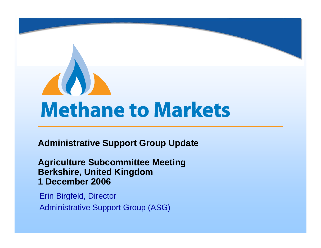# **Methane to Markets**

**Administrative Support Group Update**

**Agriculture Subcommittee Meeting Berkshire, United Kingdom 1 December 2006**

Erin Birgfeld, Director

Administrative Support Group (ASG)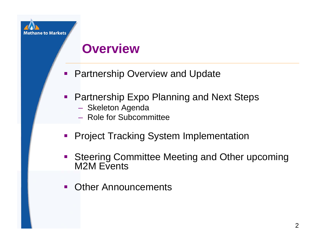### **Overview**

- e<br>S Partnership Overview and Update
- **Partnership Expo Planning and Next Steps** 
	- Skeleton Agenda
	- Role for Subcommittee
- **Project Tracking System Implementation**
- $\mathcal{L}_{\mathcal{A}}$  Steering Committee Meeting and Other upcoming M<sub>2</sub>M Events
- $\blacksquare$ Other Announcements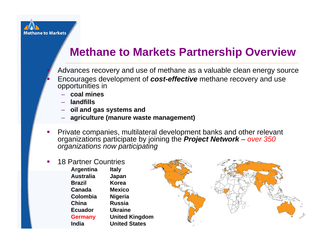

п

#### **Methane to Markets Partnership Overview**

 Advances recovery and use of methane as a valuable clean energy source Encourages development of *cost-effective* methane recovery and use opportunities in

- **coal mines**
- **landfills**
- **oil and gas systems and**
- **agriculture (manure waste management)**
- П Private companies, multilateral development banks and other relevant organizations participate by joining the *Project Network* – *over 350 organizations now participating*
- П 18 Partner Countries**Italy Japan KoreaMexicoNigeria RussiaUkraineUnited Kingdom United StatesArgentina AustraliaBrazilCanadaColombiaChinaEcuadorGermany India**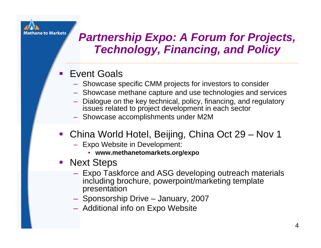

#### *Partnership Expo: A Forum for Projects, Technology, Financing, and Policy*

#### e<br>S Event Goals

- Showcase specific CMM projects for investors to consider
- Showcase methane capture and use technologies and services
- Dialogue on the key technical, policy, financing, and regulatory issues related to project development in each sector
- Showcase accomplishments under M2M
- China World Hotel, Beijing, China Oct 29 Nov 1
	- Expo Website in Development:
		- **www.methanetomarkets.org/expo**
- **Next Steps** 
	- Expo Taskforce and ASG developing outreach materials including brochure, powerpoint/marketing template presentation
	- Sponsorship Drive January, 2007
	- $-$  Additional info on Expo Website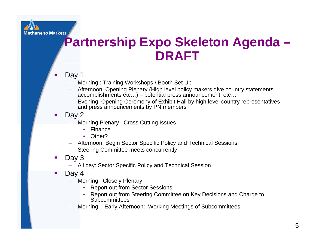

## **Partnership Expo Skeleton Agenda – DRAFT**

#### п Day 1

- Morning : Training Workshops / Booth Set Up
- Afternoon: Opening Plenary (High level policy makers give country statements accomplishments etc…) – potential press announcement etc…
- Evening: Opening Ceremony of Exhibit Hall by high level country representatives and press announcements by PN members
- $\blacksquare$ Day 2
	- Morning Plenary –Cross Cutting Issues
		- •Finance
		- •Other?
	- Afternoon: Begin Sector Specific Policy and Technical Sessions
	- –Steering Committee meets concurrently
- $\mathcal{L}_{\mathcal{A}}$ Day 3
	- All day: Sector Specific Policy and Technical Session
- $\mathcal{L}_{\mathcal{A}}$  Day 4
	- Morning: Closely Plenary
		- •Report out from Sector Sessions
		- Report out from Steering Committee on Key Decisions and Charge to **Subcommittees**
	- Morning Early Afternoon: Working Meetings of Subcommittees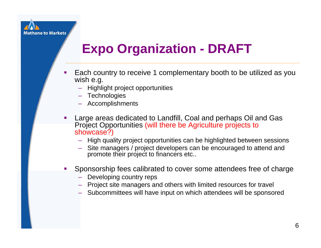

# **Expo Organization - DRAFT**

- Ξ Each country to receive 1 complementary booth to be utilized as you wish e.g.
	- Highlight project opportunities
	- Technologies
	- Accomplishments
- П Large areas dedicated to Landfill, Coal and perhaps Oil and Gas Project Opportunities (will there be Agriculture projects to showcase?)
	- High quality project opportunities can be highlighted between sessions
	- Site managers / project developers can be encouraged to attend and promote their project to financers etc..
- Г Sponsorship fees calibrated to cover some attendees free of charge
	- Developing country reps
	- Project site managers and others with limited resources for travel
	- Subcommittees will have input on which attendees will be sponsored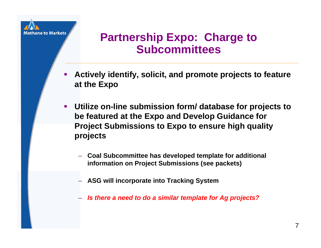

#### **Partnership Expo: Charge to Subcommittees**

- **Actively identify, solicit, and promote projects to feature at the Expo**
- **Utilize on-line submission form/ database for projects to be featured at the Expo and Develop Guidance for Project Submissions to Expo to ensure high quality projects** 
	- **Coal Subcommittee has developed template for additional information on Project Submissions (see packets)**
	- **ASG will incorporate into Tracking System**
	- *Is there a need to do a similar template for Ag projects?*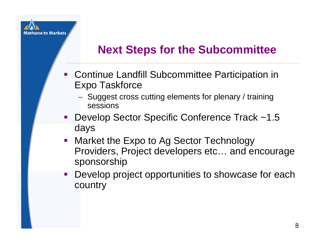

#### **Next Steps for the Subcommittee**

- **Continue Landfill Subcommittee Participation in** Expo Taskforce
	- Suggest cross cutting elements for plenary / training sessions
- Develop Sector Specific Conference Track ~1.5 days
- **Market the Expo to Ag Sector Technology** Providers, Project developers etc… and encourage sponsorship
- $\mathcal{L}_{\mathcal{A}}$  Develop project opportunities to showcase for each country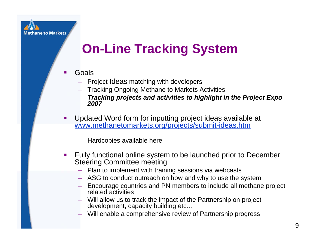# **On-Line Tracking System**

- Ξ Goals
	- Project Ideas matching with developers
	- Tracking Ongoing Methane to Markets Activities
	- *Tracking projects and activities to highlight in the Project Expo 2007*
- Г Updated Word form for inputting project ideas available at [www.methanetomarkets.org/projects/submit-ideas.htm](http://www.methanetomarkets.org/projects/submit-ideas.htm)
	- Hardcopies available here
- Г Fully functional online system to be launched prior to December Steering Committee meeting
	- Plan to implement with training sessions via webcasts
	- ASG to conduct outreach on how and why to use the system
	- Encourage countries and PN members to include all methane project related activities
	- Will allow us to track the impact of the Partnership on project development, capacity building etc…
	- Will enable a comprehensive review of Partnership progress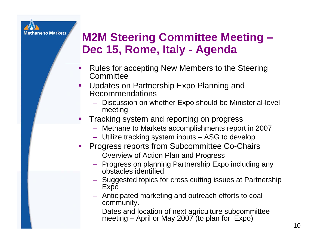

#### **M2M Steering Committee Meeting – Dec 15, Rome, Italy - Agenda**

- $\mathcal{L}_{\mathcal{A}}$  Rules for accepting New Members to the Steering **Committee**
- Updates on Partnership Expo Planning and Recommendations
	- Discussion on whether Expo should be Ministerial-level meeting
- Tracking system and reporting on progress
	- Methane to Markets accomplishments report in 2007
	- Utilize tracking system inputs ASG to develop
- **Progress reports from Subcommittee Co-Chairs** 
	- Overview of Action Plan and Progress
	- Progress on planning Partnership Expo including any obstacles identified
	- Suggested topics for cross cutting issues at Partnership Expo
	- Anticipated marketing and outreach efforts to coal community.
	- Dates and location of next agriculture subcommittee meeting – April or May 2007 (to plan for Expo)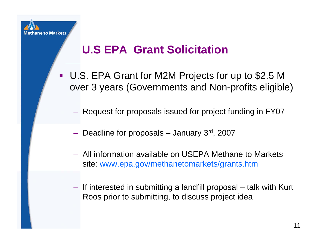

### **U.S EPA Grant Solicitation**

- U.S. EPA Grant for M2M Projects for up to \$2.5 M over 3 years (Governments and Non-profits eligible)
	- $-$  Request for proposals issued for project funding in FY07  $\,$
	- $-$  Deadline for proposals January 3 $^{\rm rd}$ , 2007
	- All information available on USEPA Methane to Markets site: www.epa.gov/methanetomarkets/grants.htm
	- If interested in submitting a landfill proposal talk with Kurt Roos prior to submitting, to discuss project idea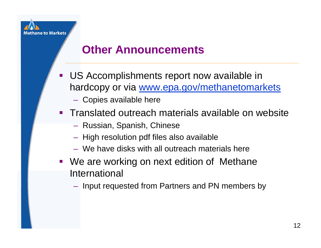

#### **Other Announcements**

- **Service Service**  US Accomplishments report now available in hardcopy or via [www.epa.gov/methanetomarkets](http://www.epa.gov/methanetomarkets)
	- Copies available here
- **Translated outreach materials available on website** 
	- Russian, Spanish, Chinese
	- $-$  High resolution pdf files also available
	- We have disks with all outreach materials here
- **We are working on next edition of Methane** International
	- Input requested from Partners and PN members by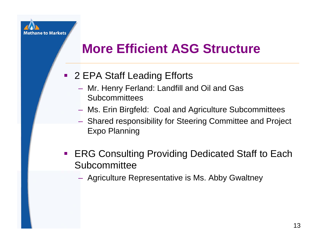

# **More Efficient ASG Structure**

- 2 EPA Staff Leading Efforts
	- Mr. Henry Ferland: Landfill and Oil and Gas **Subcommittees**
	- Ms. Erin Birgfeld: Coal and Agriculture Subcommittees
	- Shared responsibility for Steering Committee and Project Expo Planning
- **ERG Consulting Providing Dedicated Staff to Each Subcommittee** 
	- Agriculture Representative is Ms. Abby Gwaltney